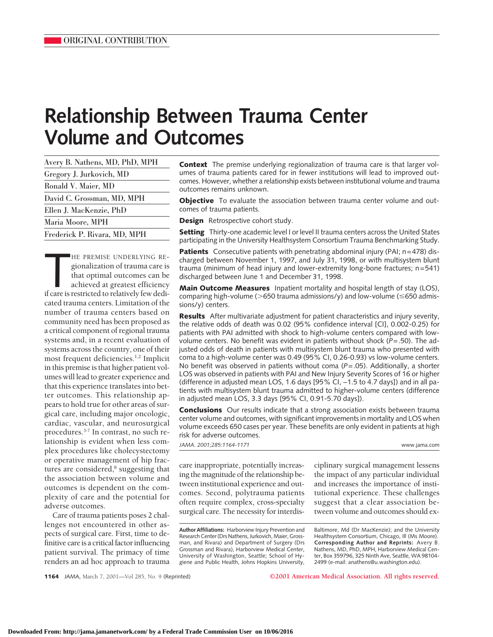# **Relationship Between Trauma Center Volume and Outcomes**

| Avery B. Nathens, MD, PhD, MPH |
|--------------------------------|
| Gregory J. Jurkovich, MD       |
| Ronald V. Maier, MD            |
| David C. Grossman, MD, MPH     |
| Ellen J. MacKenzie, PhD        |
| Maria Moore, MPH               |
| Frederick P. Rivara, MD, MPH   |

HE PREMISE UNDERLYING RE-<br>gionalization of trauma care is<br>that optimal outcomes can be<br>achieved at greatest efficiency<br>if care is restricted to relatively few dedi-HE PREMISE UNDERLYING REgionalization of trauma care is that optimal outcomes can be achieved at greatest efficiency cated trauma centers. Limitation of the number of trauma centers based on community need has been proposed as a critical component of regional trauma systems and, in a recent evaluation of systems across the country, one of their most frequent deficiencies.1,2 Implicit in this premise is that higher patient volumes will lead to greater experience and that this experience translates into better outcomes. This relationship appears to hold true for other areas of surgical care, including major oncologic, cardiac, vascular, and neurosurgical procedures.3-7 In contrast, no such relationship is evident when less complex procedures like cholecystectomy or operative management of hip fractures are considered, $8$  suggesting that the association between volume and outcomes is dependent on the complexity of care and the potential for adverse outcomes.

Care of trauma patients poses 2 challenges not encountered in other aspects of surgical care. First, time to definitive care is a critical factor influencing patient survival. The primacy of time renders an ad hoc approach to trauma

**Context** The premise underlying regionalization of trauma care is that larger volumes of trauma patients cared for in fewer institutions will lead to improved outcomes. However, whether a relationship exists between institutional volume and trauma outcomes remains unknown.

**Objective** To evaluate the association between trauma center volume and outcomes of trauma patients.

**Design** Retrospective cohort study.

**Setting** Thirty-one academic level I or level II trauma centers across the United States participating in the University Healthsystem Consortium Trauma Benchmarking Study.

**Patients** Consecutive patients with penetrating abdominal injury (PAI; n=478) discharged between November 1, 1997, and July 31, 1998, or with multisystem blunt trauma (minimum of head injury and lower-extremity long-bone fractures; n=541) discharged between June 1 and December 31, 1998.

**Main Outcome Measures** Inpatient mortality and hospital length of stay (LOS), comparing high-volume ( $>650$  trauma admissions/y) and low-volume ( $\leq 650$  admissions/y) centers.

**Results** After multivariate adjustment for patient characteristics and injury severity, the relative odds of death was 0.02 (95% confidence interval [CI], 0.002-0.25) for patients with PAI admitted with shock to high-volume centers compared with lowvolume centers. No benefit was evident in patients without shock (*P*=.50). The adjusted odds of death in patients with multisystem blunt trauma who presented with coma to a high-volume center was 0.49 (95% CI, 0.26-0.93) vs low-volume centers. No benefit was observed in patients without coma (*P*=.05). Additionally, a shorter LOS was observed in patients with PAI and New Injury Severity Scores of 16 or higher (difference in adjusted mean LOS, 1.6 days [95% CI, −1.5 to 4.7 days]) and in all patients with multisystem blunt trauma admitted to higher-volume centers (difference in adjusted mean LOS, 3.3 days [95% CI, 0.91-5.70 days]).

**Conclusions** Our results indicate that a strong association exists between trauma center volume and outcomes, with significant improvements in mortality and LOS when volume exceeds 650 cases per year. These benefits are only evident in patients at high risk for adverse outcomes.

*JAMA. 2001;285:1164-1171* www.jama.com

care inappropriate, potentially increasing the magnitude of the relationship between institutional experience and outcomes. Second, polytrauma patients often require complex, cross-specialty surgical care. The necessity for interdis-

**Author Affiliations:** Harborview Injury Prevention and Research Center (Drs Nathens, Jurkovich, Maier, Grossman, and Rivara) and Department of Surgery (Drs Grossman and Rivara), Harborview Medical Center, University of Washington, Seattle; School of Hygiene and Public Health, Johns Hopkins University,

ciplinary surgical management lessens the impact of any particular individual and increases the importance of institutional experience. These challenges suggest that a clear association between volume and outcomes should ex-

Baltimore, Md (Dr MacKenzie); and the University Healthsystem Consortium, Chicago, Ill (Ms Moore). **Corresponding Author and Reprints:** Avery B. Nathens, MD, PhD, MPH, Harborview Medical Center, Box 359796, 325 Ninth Ave, Seattle, WA 98104- 2499 (e-mail: anathens@u.washington.edu).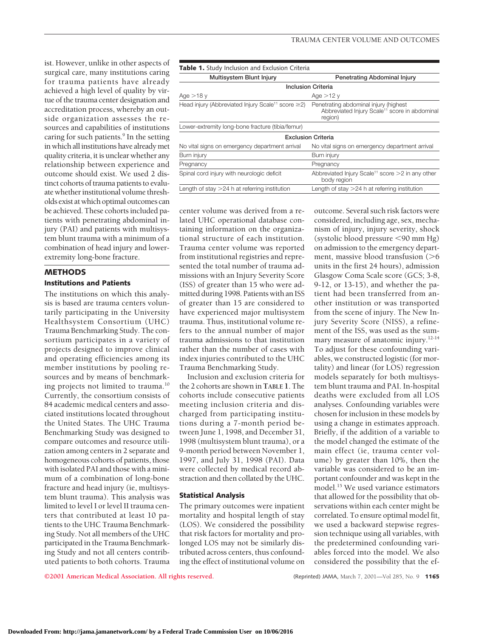Abbreviated Injury Scale<sup>11</sup> score in abdominal

**Multisystem Blunt Injury Communisty Penetrating Abdominal Injury Inclusion Criteria**

**Exclusion Criteria** No vital signs on emergency department arrival No vital signs on emergency department arrival

Spinal cord injury with neurologic deficit Abbreviated Injury Scale<sup>11</sup> score >2 in any other

Length of stay  $>$  24 h at referring institution Length of stay  $>$  24 h at referring institution

region)

body region

Head injury (Abbreviated Injury Scale<sup>11</sup> score  $\geq$ 2) Penetrating abdominal injury (highest

ist. However, unlike in other aspects of surgical care, many institutions caring for trauma patients have already achieved a high level of quality by virtue of the trauma center designation and accreditation process, whereby an outside organization assesses the resources and capabilities of institutions caring for such patients.<sup>9</sup> In the setting in which all institutions have already met quality criteria, it is unclear whether any relationship between experience and outcome should exist. We used 2 distinct cohorts of trauma patients to evaluate whether institutional volume thresholds exist at which optimal outcomes can be achieved. These cohorts included patients with penetrating abdominal injury (PAI) and patients with multisystem blunt trauma with a minimum of a combination of head injury and lowerextremity long-bone fracture.

### **METHODS Institutions and Patients**

The institutions on which this analysis is based are trauma centers voluntarily participating in the University Healthsystem Consortium (UHC) Trauma Benchmarking Study. The consortium participates in a variety of projects designed to improve clinical and operating efficiencies among its member institutions by pooling resources and by means of benchmarking projects not limited to trauma.10 Currently, the consortium consists of 84 academic medical centers and associated institutions located throughout the United States. The UHC Trauma Benchmarking Study was designed to compare outcomes and resource utilization among centers in 2 separate and homogeneous cohorts of patients, those with isolated PAI and those with a minimum of a combination of long-bone fracture and head injury (ie, multisystem blunt trauma). This analysis was limited to level I or level II trauma centers that contributed at least 10 patients to the UHC Trauma Benchmarking Study. Not all members of the UHC participated in the Trauma Benchmarking Study and not all centers contributed patients to both cohorts. Trauma

center volume was derived from a related UHC operational database containing information on the organizational structure of each institution. Trauma center volume was reported from institutional registries and represented the total number of trauma admissions with an Injury Severity Score (ISS) of greater than 15 who were admitted during 1998. Patients with an ISS of greater than 15 are considered to have experienced major multisystem trauma. Thus, institutional volume refers to the annual number of major trauma admissions to that institution rather than the number of cases with index injuries contributed to the UHC Trauma Benchmarking Study.

**Table 1.** Study Inclusion and Exclusion Criteria

Lower-extremity long-bone fracture (tibia/femur)

Age  $>18$  y  $Age >12$  y

Burn injury **Burn injury Burn injury** Pregnancy Pregnancy

Inclusion and exclusion criteria for the 2 cohorts are shown in **TABLE 1**. The cohorts include consecutive patients meeting inclusion criteria and discharged from participating institutions during a 7-month period between June 1, 1998, and December 31, 1998 (multisystem blunt trauma), or a 9-month period between November 1, 1997, and July 31, 1998 (PAI). Data were collected by medical record abstraction and then collated by the UHC.

#### **Statistical Analysis**

The primary outcomes were inpatient mortality and hospital length of stay (LOS). We considered the possibility that risk factors for mortality and prolonged LOS may not be similarly distributed across centers, thus confounding the effect of institutional volume on

outcome. Several such risk factors were considered, including age, sex, mechanism of injury, injury severity, shock (systolic blood pressure <90 mm Hg) on admission to the emergency department, massive blood transfusion  $(>6$ units in the first 24 hours), admission Glasgow Coma Scale score (GCS; 3-8, 9-12, or 13-15), and whether the patient had been transferred from another institution or was transported from the scene of injury. The New Injury Severity Score (NISS), a refinement of the ISS, was used as the summary measure of anatomic injury.<sup>12-14</sup> To adjust for these confounding variables, we constructed logistic (for mortality) and linear (for LOS) regression models separately for both multisystem blunt trauma and PAI. In-hospital deaths were excluded from all LOS analyses. Confounding variables were chosen for inclusion in these models by using a change in estimates approach. Briefly, if the addition of a variable to the model changed the estimate of the main effect (ie, trauma center volume) by greater than 10%, then the variable was considered to be an important confounder and was kept in the model.15 We used variance estimators that allowed for the possibility that observations within each center might be correlated. To ensure optimal model fit, we used a backward stepwise regression technique using all variables, with the predetermined confounding variables forced into the model. We also considered the possibility that the ef-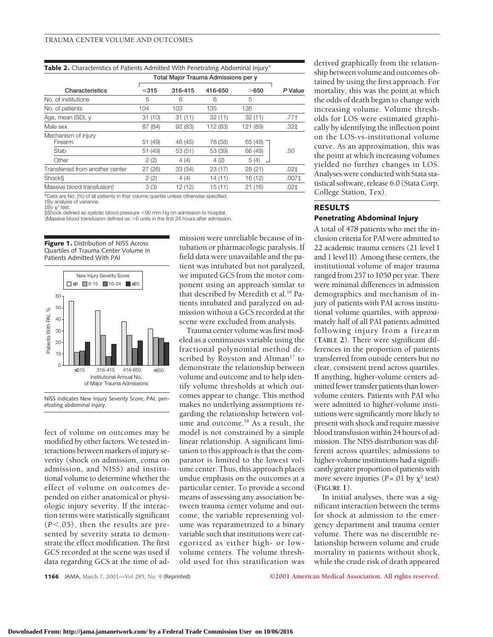| <b>Table 2.</b> Characteristics of Patients Admitted With Penetrating Abdominal Injury <sup>*</sup> |                                     |         |          |          |                   |  |
|-----------------------------------------------------------------------------------------------------|-------------------------------------|---------|----------|----------|-------------------|--|
|                                                                                                     | Total Major Trauma Admissions per y |         |          |          |                   |  |
| Characteristics                                                                                     | $\leq$ 315                          | 316-415 | 416-650  | >650     | P Value           |  |
| No. of institutions                                                                                 | 5                                   | 6       | 6        | 5        |                   |  |
| No. of patients                                                                                     | 104                                 | 103     | 135      | 136      |                   |  |
| Age, mean (SD), y                                                                                   | 31(10)                              | 31(11)  | 32(11)   | 32(11)   | .77†              |  |
| Male sex                                                                                            | 87 (84)                             | 92 (83) | 112 (83) | 121 (89) | $.32+$            |  |
| Mechanism of injury<br>Firearm                                                                      | 51 (49)                             | 46 (45) | 78 (58)  | 65 (48)  |                   |  |
| Stab                                                                                                | 51 (49)                             | 53 (51) | 53 (39)  | 66 (49)  | .50               |  |
| Other                                                                                               | 2(2)                                | 4(4)    | 4(2)     | 5(4)     |                   |  |
| Transferred from another center                                                                     | 27(26)                              | 33 (34) | 23(17)   | 28 (21)  | $.02+$            |  |
| Shock§                                                                                              | 2(2)                                | 4(4)    | 14(11)   | 16 (12)  | .007 <sup>±</sup> |  |
| Massive blood transfusion                                                                           | 3(3)                                | 12 (12) | 15 (11)  | 21(16)   | .02‡              |  |
|                                                                                                     |                                     |         |          |          |                   |  |

\*Data are No. (%) of all patients in that volume quartile unless otherwise specified.

†By analysis of variance.

 $\sharp$ By  $\chi^2$  test.

§Shock defined as systolic blood pressure ,90 mm Hg on admission to hospital.  $\parallel$ Massive blood transfusion defined as  $>6$  units in the first 24 hours after admission.

**Figure 1.** Distribution of NISS Across Quartiles of Trauma Center Volume in Patients Admitted With PAI



NISS indicates New Injury Severity Score; PAI, penetrating abdominal injury.

fect of volume on outcomes may be modified by other factors. We tested interactions between markers of injury severity (shock on admission, coma on admission, and NISS) and institutional volume to determine whether the effect of volume on outcomes depended on either anatomical or physiologic injury severity. If the interaction terms were statistically significant  $(P<.05)$ , then the results are presented by severity strata to demonstrate the effect modification. The first GCS recorded at the scene was used if data regarding GCS at the time of admission were unreliable because of intubation or pharmacologic paralysis. If field data were unavailable and the patient was intubated but not paralyzed, we imputed GCS from the motor component using an approach similar to that described by Meredith et al.<sup>16</sup> Patients intubated and paralyzed on admission without a GCS recorded at the scene were excluded from analysis.

Trauma center volume was first modeled as a continuous variable using the fractional polynomial method described by Royston and Altman<sup>17</sup> to demonstrate the relationship between volume and outcome and to help identify volume thresholds at which outcomes appear to change. This method makes no underlying assumptions regarding the relationship between volume and outcome.<sup>18</sup> As a result, the model is not constrained by a simple linear relationship. A significant limitation to this approach is that the comparator is limited to the lowest volume center. Thus, this approach places undue emphasis on the outcomes at a particular center. To provide a second means of assessing any association between trauma center volume and outcome, the variable representing volume was reparametrized to a binary variable such that institutions were categorized as either high- or lowvolume centers. The volume threshold used for this stratification was

derived graphically from the relationship between volume and outcomes obtained by using the first approach. For mortality, this was the point at which the odds of death began to change with increasing volume. Volume thresholds for LOS were estimated graphically by identifying the inflection point on the LOS-vs-institutional volume curve. As an approximation, this was the point at which increasing volumes yielded no further changes in LOS. Analyses were conducted with Stata statistical software, release 6.0 (Stata Corp, College Station, Tex).

#### **RESULTS Penetrating Abdominal Injury**

A total of 478 patients who met the inclusion criteria for PAI were admitted to 22 academic trauma centers (21 level I and 1 level II). Among these centers, the institutional volume of major trauma ranged from 257 to 1050 per year. There were minimal differences in admission demographics and mechanism of injury of patients with PAI across institutional volume quartiles, with approximately half of all PAI patients admitted following injury from a firearm (**TABLE 2**). There were significant differences in the proportion of patients transferred from outside centers but no clear, consistent trend across quartiles. If anything, higher-volume centers admitted fewer transfer patients than lowervolume centers. Patients with PAI who were admitted to higher-volume institutions were significantly more likely to present with shock and require massive blood transfusion within 24 hours of admission. The NISS distribution was different across quartiles; admissions to higher-volume institutions had a significantly greater proportion of patients with more severe injuries ( $P = .01$  by  $\chi^2$  test) (**FIGURE 1**).

In initial analyses, there was a significant interaction between the terms for shock at admission to the emergency department and trauma center volume. There was no discernible relationship between volume and crude mortality in patients without shock, while the crude risk of death appeared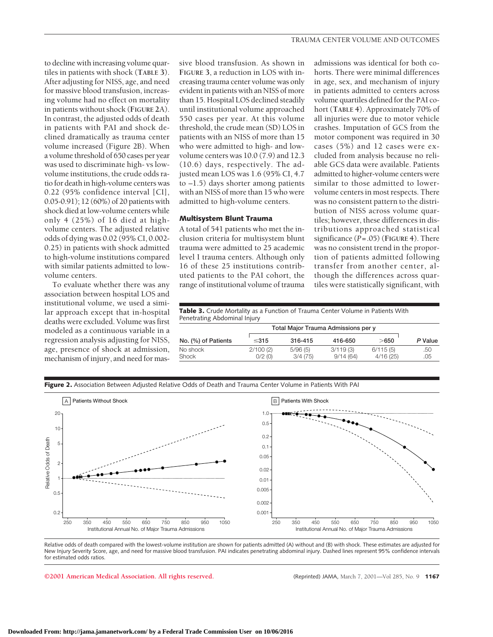to decline with increasing volume quartiles in patients with shock (**TABLE 3**). After adjusting for NISS, age, and need for massive blood transfusion, increasing volume had no effect on mortality in patients without shock (**FIGURE 2**A). In contrast, the adjusted odds of death in patients with PAI and shock declined dramatically as trauma center volume increased (Figure 2B). When a volume threshold of 650 cases per year was used to discriminate high- vs lowvolume institutions, the crude odds ratio for death in high-volume centers was 0.22 (95% confidence interval [CI], 0.05-0.91); 12 (60%) of 20 patients with shock died at low-volume centers while only 4 (25%) of 16 died at highvolume centers. The adjusted relative odds of dying was 0.02 (95% CI, 0.002- 0.25) in patients with shock admitted to high-volume institutions compared with similar patients admitted to lowvolume centers.

To evaluate whether there was any association between hospital LOS and institutional volume, we used a similar approach except that in-hospital deaths were excluded. Volume was first modeled as a continuous variable in a regression analysis adjusting for NISS, age, presence of shock at admission, mechanism of injury, and need for massive blood transfusion. As shown in **FIGURE 3**, a reduction in LOS with increasing trauma center volume was only evident in patients with an NISS of more than 15. Hospital LOS declined steadily until institutional volume approached 550 cases per year. At this volume threshold, the crude mean (SD) LOS in patients with an NISS of more than 15 who were admitted to high- and lowvolume centers was 10.0 (7.9) and 12.3 (10.6) days, respectively. The adjusted mean LOS was 1.6 (95% CI, 4.7 to  $-1.5$ ) days shorter among patients with an NISS of more than 15 who were admitted to high-volume centers.

#### **Multisystem Blunt Trauma**

A total of 541 patients who met the inclusion criteria for multisystem blunt trauma were admitted to 25 academic level I trauma centers. Although only 16 of these 25 institutions contributed patients to the PAI cohort, the range of institutional volume of trauma

admissions was identical for both cohorts. There were minimal differences in age, sex, and mechanism of injury in patients admitted to centers across volume quartiles defined for the PAI cohort (**TABLE 4**). Approximately 70% of all injuries were due to motor vehicle crashes. Imputation of GCS from the motor component was required in 30 cases (5%) and 12 cases were excluded from analysis because no reliable GCS data were available. Patients admitted to higher-volume centers were similar to those admitted to lowervolume centers in most respects. There was no consistent pattern to the distribution of NISS across volume quartiles; however, these differences in distributions approached statistical significance (*P*=.05) (**FIGURE 4**). There was no consistent trend in the proportion of patients admitted following transfer from another center, although the differences across quartiles were statistically significant, with

**Table 3.** Crude Mortality as a Function of Trauma Center Volume in Patients With Penetrating Abdominal Injury

|                     |            | Total Major Trauma Admissions per y |          |          |         |  |  |
|---------------------|------------|-------------------------------------|----------|----------|---------|--|--|
| No. (%) of Patients | $\leq$ 315 | 316-415                             | 416-650  | >650     | P Value |  |  |
| No shock            | 2/100(2)   | 5/96(5)                             | 3/119(3) | 6/115(5) | .50     |  |  |
| Shock               | 0/2(0)     | 3/4(75)                             | 9/14(64) | 4/16(25) | .05     |  |  |





Relative odds of death compared with the lowest-volume institution are shown for patients admitted (A) without and (B) with shock. These estimates are adjusted for New Injury Severity Score, age, and need for massive blood transfusion. PAI indicates penetrating abdominal injury. Dashed lines represent 95% confidence intervals for estimated odds ratios.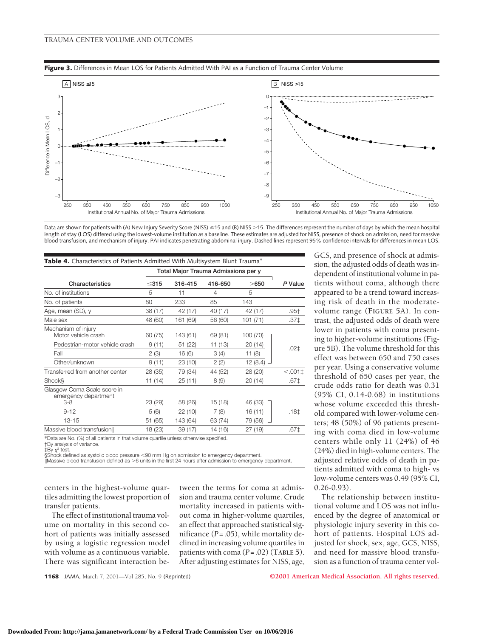

**Figure 3.** Differences in Mean LOS for Patients Admitted With PAI as a Function of Trauma Center Volume

Data are shown for patients with (A) New Injury Severity Score (NISS) <15 and (B) NISS >15. The differences represent the number of days by which the mean hospital length of stay (LOS) differed using the lowest-volume institution as a baseline. These estimates are adjusted for NISS, presence of shock on admission, need for massive blood transfusion, and mechanism of injury. PAI indicates penetrating abdominal injury. Dashed lines represent 95% confidence intervals for differences in mean LOS.

| <b>Table 4.</b> Characteristics of Patients Admitted With Multisystem Blunt Trauma <sup>*</sup> |                                     |          |         |              |                |
|-------------------------------------------------------------------------------------------------|-------------------------------------|----------|---------|--------------|----------------|
|                                                                                                 | Total Major Trauma Admissions per y |          |         |              |                |
| Characteristics                                                                                 | $≤315$                              | 316-415  | 416-650 | >650         | P Value        |
| No. of institutions                                                                             | 5                                   | 11       | 4       | 5            |                |
| No. of patients                                                                                 | 80                                  | 233      | 85      | 143          |                |
| Age, mean (SD), y                                                                               | 38 (17)                             | 42 (17)  | 40 (17) | 42 (17)      | $.95+$         |
| Male sex                                                                                        | 48 (60)                             | 161 (69) | 56 (60) | 101(71)      | .37‡           |
| Mechanism of injury<br>Motor vehicle crash                                                      | 60 (75)                             | 143 (61) | 69 (81) | 100 (70)     |                |
| Pedestrian-motor vehicle crash                                                                  | 9(11)                               | 51 (22)  | 11 (13) | 20(14)       | $.02+$         |
| Fall                                                                                            | 2(3)                                | 16(6)    | 3(4)    | 11 (8)       |                |
| Other/unknown                                                                                   | 9(11)                               | 23(10)   | 2(2)    | 12 (8.4) $-$ |                |
| Transferred from another center                                                                 | 28 (35)                             | 79 (34)  | 44 (52) | 28 (20)      | $< .001 \pm 1$ |
| <b>Shock</b> §                                                                                  | 11(14)                              | 25(11)   | 8(9)    | 20(14)       | .67‡           |
| Glasgow Coma Scale score in<br>emergency department                                             |                                     |          |         |              |                |
| $3-8$                                                                                           | 23 (29)                             | 58 (26)  | 15 (18) | 46 (33)      |                |
| $9 - 12$                                                                                        | 5(6)                                | 22(10)   | 7(8)    | 16 (11)      | .18‡           |
| $13 - 15$                                                                                       | 51 (65)                             | 143 (64) | 63 (74) | 79 (56)      |                |
| Massive blood transfusion                                                                       | 18 (23)                             | 39(17)   | 14 (16) | 27 (19)      | .67‡           |
| *Data and Na. 707) of all particularly dealered may according material advanced a specifical    |                                     |          |         |              |                |

\*Data are No. (%) of all patients in that volume quartile unless otherwise specified. †By analysis of variance.

‡By  $\chi^2$  test.

§Shock defined as systolic blood pressure <90 mm Hg on admission to emergency department.<br>∥Massive blood transfusion defined as >6 units in the first 24 hours after admission to emergency department.

centers in the highest-volume quartiles admitting the lowest proportion of transfer patients.

The effect of institutional trauma volume on mortality in this second cohort of patients was initially assessed by using a logistic regression model with volume as a continuous variable. There was significant interaction between the terms for coma at admission and trauma center volume. Crude mortality increased in patients without coma in higher-volume quartiles, an effect that approached statistical significance (*P*=.05), while mortality declined in increasing volume quartiles in patients with coma (*P*=.02) (**TABLE 5**). After adjusting estimates for NISS, age, GCS, and presence of shock at admission, the adjusted odds of death was independent of institutional volume in patients without coma, although there appeared to be a trend toward increasing risk of death in the moderatevolume range (**FIGURE 5**A). In contrast, the adjusted odds of death were lower in patients with coma presenting to higher-volume institutions (Figure 5B). The volume threshold for this effect was between 650 and 750 cases per year. Using a conservative volume threshold of 650 cases per year, the crude odds ratio for death was 0.31 (95% CI, 0.14-0.68) in institutions whose volume exceeded this threshold compared with lower-volume centers; 48 (50%) of 96 patients presenting with coma died in low-volume centers while only 11 (24%) of 46 (24%) died in high-volume centers. The adjusted relative odds of death in patients admitted with coma to high- vs low-volume centers was 0.49 (95% CI, 0.26-0.93).

The relationship between institutional volume and LOS was not influenced by the degree of anatomical or physiologic injury severity in this cohort of patients. Hospital LOS adjusted for shock, sex, age, GCS, NISS, and need for massive blood transfusion as a function of trauma center vol-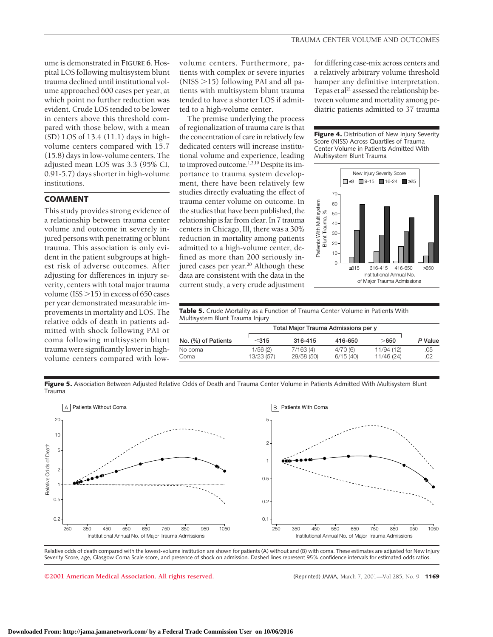ume is demonstrated in **FIGURE 6**. Hospital LOS following multisystem blunt trauma declined until institutional volume approached 600 cases per year, at which point no further reduction was evident. Crude LOS tended to be lower in centers above this threshold compared with those below, with a mean (SD) LOS of 13.4 (11.1) days in highvolume centers compared with 15.7 (15.8) days in low-volume centers. The adjusted mean LOS was 3.3 (95% CI, 0.91-5.7) days shorter in high-volume institutions.

## **COMMENT**

This study provides strong evidence of a relationship between trauma center volume and outcome in severely injured persons with penetrating or blunt trauma. This association is only evident in the patient subgroups at highest risk of adverse outcomes. After adjusting for differences in injury severity, centers with total major trauma volume (ISS  $>$ 15) in excess of 650 cases per year demonstrated measurable improvements in mortality and LOS. The relative odds of death in patients admitted with shock following PAI or coma following multisystem blunt trauma were significantly lower in highvolume centers compared with lowvolume centers. Furthermore, patients with complex or severe injuries  $(NISS >15)$  following PAI and all patients with multisystem blunt trauma tended to have a shorter LOS if admitted to a high-volume center.

The premise underlying the process of regionalization of trauma care is that the concentration of care in relatively few dedicated centers will increase institutional volume and experience, leading to improved outcome.<sup>1,2,19</sup> Despite its importance to trauma system development, there have been relatively few studies directly evaluating the effect of trauma center volume on outcome. In the studies that have been published, the relationship is far from clear. In 7 trauma centers in Chicago, Ill, there was a 30% reduction in mortality among patients admitted to a high-volume center, defined as more than 200 seriously injured cases per year.<sup>20</sup> Although these data are consistent with the data in the current study, a very crude adjustment

for differing case-mix across centers and a relatively arbitrary volume threshold hamper any definitive interpretation. Tepas et al $^{21}$  assessed the relationship between volume and mortality among pediatric patients admitted to 37 trauma

**Figure 4.** Distribution of New Injury Severity Score (NISS) Across Quartiles of Trauma Center Volume in Patients Admitted With Multisystem Blunt Trauma



**Table 5.** Crude Mortality as a Function of Trauma Center Volume in Patients With Multisystem Blunt Trauma Injury

|                     |            | Total Major Trauma Admissions per y |          |            |         |  |
|---------------------|------------|-------------------------------------|----------|------------|---------|--|
| No. (%) of Patients | $\leq$ 315 | 316-415                             | 416-650  | $>$ 650    | P Value |  |
| No coma             | 1/56(2)    | 7/163(4)                            | 4/70(6)  | 11/94 (12) | .05     |  |
| Coma                | 13/23 (57) | 29/58 (50)                          | 6/15(40) | 11/46 (24) | .02     |  |

**Figure 5.** Association Between Adjusted Relative Odds of Death and Trauma Center Volume in Patients Admitted With Multisystem Blunt Trauma



Relative odds of death compared with the lowest-volume institution are shown for patients (A) without and (B) with coma. These estimates are adjusted for New Injury Severity Score, age, Glasgow Coma Scale score, and presence of shock on admission. Dashed lines represent 95% confidence intervals for estimated odds ratios.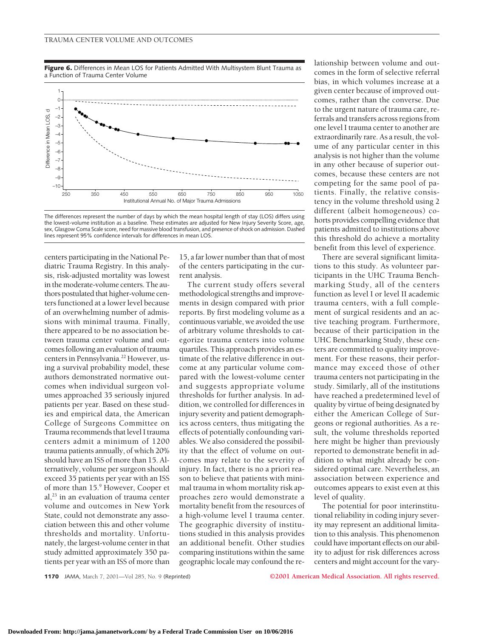**Figure 6.** Differences in Mean LOS for Patients Admitted With Multisystem Blunt Trauma as a Function of Trauma Center Volume



The differences represent the number of days by which the mean hospital length of stay (LOS) differs using the lowest-volume institution as a baseline. These estimates are adjusted for New Injury Severity Score, age, sex, Glasgow Coma Scale score, need for massive blood transfusion, and presence of shock on admission. Dashed lines represent 95% confidence intervals for differences in mean LOS.

centers participating in the National Pediatric Trauma Registry. In this analysis, risk-adjusted mortality was lowest in the moderate-volume centers. The authors postulated that higher-volume centers functioned at a lower level because of an overwhelming number of admissions with minimal trauma. Finally, there appeared to be no association between trauma center volume and outcomes following an evaluation of trauma centers in Pennsylvania.<sup>22</sup> However, using a survival probability model, these authors demonstrated normative outcomes when individual surgeon volumes approached 35 seriously injured patients per year. Based on these studies and empirical data, the American College of Surgeons Committee on Trauma recommends that level I trauma centers admit a minimum of 1200 trauma patients annually, of which 20% should have an ISS of more than 15. Alternatively, volume per surgeon should exceed 35 patients per year with an ISS of more than 15.9 However, Cooper et al,23 in an evaluation of trauma center volume and outcomes in New York State, could not demonstrate any association between this and other volume thresholds and mortality. Unfortunately, the largest-volume center in that study admitted approximately 350 patients per year with an ISS of more than

15, a far lower number than that of most of the centers participating in the current analysis.

The current study offers several methodological strengths and improvements in design compared with prior reports. By first modeling volume as a continuous variable, we avoided the use of arbitrary volume thresholds to categorize trauma centers into volume quartiles. This approach provides an estimate of the relative difference in outcome at any particular volume compared with the lowest-volume center and suggests appropriate volume thresholds for further analysis. In addition, we controlled for differences in injury severity and patient demographics across centers, thus mitigating the effects of potentially confounding variables. We also considered the possibility that the effect of volume on outcomes may relate to the severity of injury. In fact, there is no a priori reason to believe that patients with minimal trauma in whom mortality risk approaches zero would demonstrate a mortality benefit from the resources of a high-volume level I trauma center. The geographic diversity of institutions studied in this analysis provides an additional benefit. Other studies comparing institutions within the same geographic locale may confound the re-

lationship between volume and outcomes in the form of selective referral bias, in which volumes increase at a given center because of improved outcomes, rather than the converse. Due to the urgent nature of trauma care, referrals and transfers across regions from one level I trauma center to another are extraordinarily rare. As a result, the volume of any particular center in this analysis is not higher than the volume in any other because of superior outcomes, because these centers are not competing for the same pool of patients. Finally, the relative consistency in the volume threshold using 2 different (albeit homogeneous) cohorts provides compelling evidence that patients admitted to institutions above this threshold do achieve a mortality benefit from this level of experience.

There are several significant limitations to this study. As volunteer participants in the UHC Trauma Benchmarking Study, all of the centers function as level I or level II academic trauma centers, with a full complement of surgical residents and an active teaching program. Furthermore, because of their participation in the UHC Benchmarking Study, these centers are committed to quality improvement. For these reasons, their performance may exceed those of other trauma centers not participating in the study. Similarly, all of the institutions have reached a predetermined level of quality by virtue of being designated by either the American College of Surgeons or regional authorities. As a result, the volume thresholds reported here might be higher than previously reported to demonstrate benefit in addition to what might already be considered optimal care. Nevertheless, an association between experience and outcomes appears to exist even at this level of quality.

The potential for poor interinstitutional reliability in coding injury severity may represent an additional limitation to this analysis. This phenomenon could have important effects on our ability to adjust for risk differences across centers and might account for the vary-